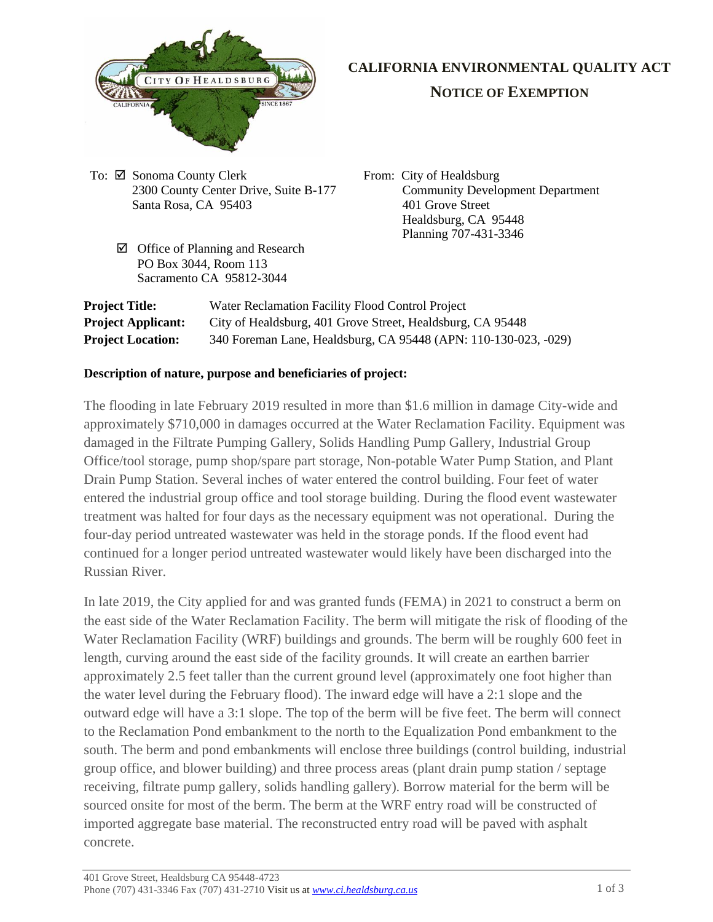

# **CALIFORNIA ENVIRONMENTAL QUALITY ACT**

## **NOTICE OF EXEMPTION**

- To:  $\boxtimes$  Sonoma County Clerk 2300 County Center Drive, Suite B-177 Santa Rosa, CA 95403
	- $\boxtimes$  Office of Planning and Research PO Box 3044, Room 113 Sacramento CA 95812-3044

From: City of Healdsburg Community Development Department 401 Grove Street Healdsburg, CA 95448 Planning 707-431-3346

| <b>Project Title:</b>     | Water Reclamation Facility Flood Control Project                |
|---------------------------|-----------------------------------------------------------------|
| <b>Project Applicant:</b> | City of Healdsburg, 401 Grove Street, Healdsburg, CA 95448      |
| <b>Project Location:</b>  | 340 Foreman Lane, Healdsburg, CA 95448 (APN: 110-130-023, -029) |

### **Description of nature, purpose and beneficiaries of project:**

The flooding in late February 2019 resulted in more than \$1.6 million in damage City-wide and approximately \$710,000 in damages occurred at the Water Reclamation Facility. Equipment was damaged in the Filtrate Pumping Gallery, Solids Handling Pump Gallery, Industrial Group Office/tool storage, pump shop/spare part storage, Non-potable Water Pump Station, and Plant Drain Pump Station. Several inches of water entered the control building. Four feet of water entered the industrial group office and tool storage building. During the flood event wastewater treatment was halted for four days as the necessary equipment was not operational. During the four-day period untreated wastewater was held in the storage ponds. If the flood event had continued for a longer period untreated wastewater would likely have been discharged into the Russian River.

In late 2019, the City applied for and was granted funds (FEMA) in 2021 to construct a berm on the east side of the Water Reclamation Facility. The berm will mitigate the risk of flooding of the Water Reclamation Facility (WRF) buildings and grounds. The berm will be roughly 600 feet in length, curving around the east side of the facility grounds. It will create an earthen barrier approximately 2.5 feet taller than the current ground level (approximately one foot higher than the water level during the February flood). The inward edge will have a 2:1 slope and the outward edge will have a 3:1 slope. The top of the berm will be five feet. The berm will connect to the Reclamation Pond embankment to the north to the Equalization Pond embankment to the south. The berm and pond embankments will enclose three buildings (control building, industrial group office, and blower building) and three process areas (plant drain pump station / septage receiving, filtrate pump gallery, solids handling gallery). Borrow material for the berm will be sourced onsite for most of the berm. The berm at the WRF entry road will be constructed of imported aggregate base material. The reconstructed entry road will be paved with asphalt concrete.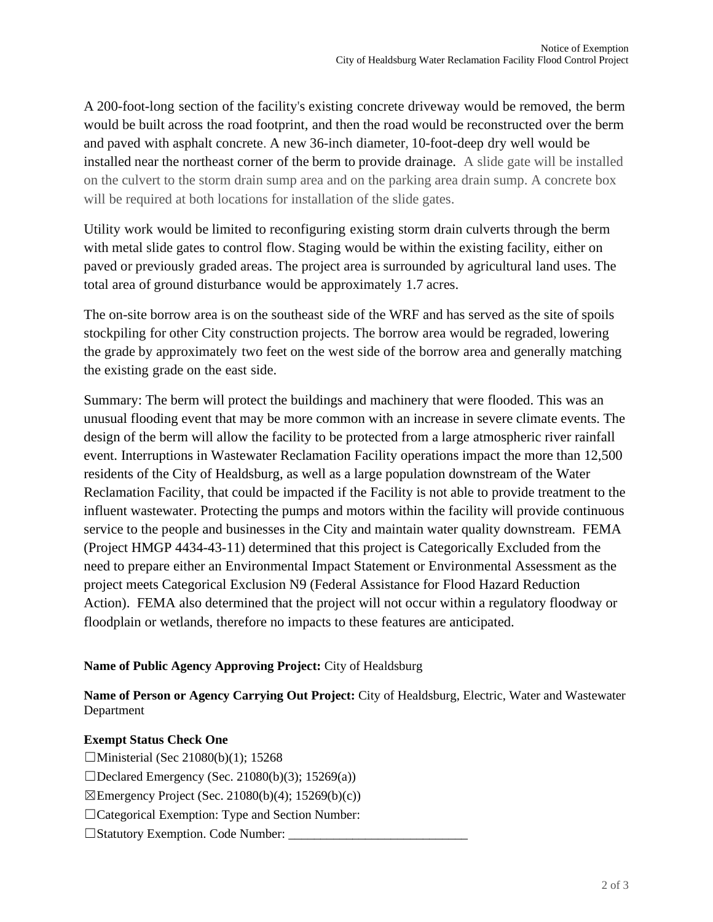A 200-foot-long section of the facility's existing concrete driveway would be removed, the berm would be built across the road footprint, and then the road would be reconstructed over the berm and paved with asphalt concrete. A new 36-inch diameter, 10-foot-deep dry well would be installed near the northeast corner of the berm to provide drainage. A slide gate will be installed on the culvert to the storm drain sump area and on the parking area drain sump. A concrete box will be required at both locations for installation of the slide gates.

Utility work would be limited to reconfiguring existing storm drain culverts through the berm with metal slide gates to control flow. Staging would be within the existing facility, either on paved or previously graded areas. The project area is surrounded by agricultural land uses. The total area of ground disturbance would be approximately 1.7 acres.

The on-site borrow area is on the southeast side of the WRF and has served as the site of spoils stockpiling for other City construction projects. The borrow area would be regraded, lowering the grade by approximately two feet on the west side of the borrow area and generally matching the existing grade on the east side.

Summary: The berm will protect the buildings and machinery that were flooded. This was an unusual flooding event that may be more common with an increase in severe climate events. The design of the berm will allow the facility to be protected from a large atmospheric river rainfall event. Interruptions in Wastewater Reclamation Facility operations impact the more than 12,500 residents of the City of Healdsburg, as well as a large population downstream of the Water Reclamation Facility, that could be impacted if the Facility is not able to provide treatment to the influent wastewater. Protecting the pumps and motors within the facility will provide continuous service to the people and businesses in the City and maintain water quality downstream. FEMA (Project HMGP 4434-43-11) determined that this project is Categorically Excluded from the need to prepare either an Environmental Impact Statement or Environmental Assessment as the project meets Categorical Exclusion N9 (Federal Assistance for Flood Hazard Reduction Action). FEMA also determined that the project will not occur within a regulatory floodway or floodplain or wetlands, therefore no impacts to these features are anticipated.

#### **Name of Public Agency Approving Project:** City of Healdsburg

**Name of Person or Agency Carrying Out Project:** City of Healdsburg, Electric, Water and Wastewater Department

#### **Exempt Status Check One**

□Ministerial (Sec 21080(b)(1); 15268  $\Box$ Declared Emergency (Sec. 21080(b)(3); 15269(a))  $\boxtimes$ Emergency Project (Sec. 21080(b)(4); 15269(b)(c)) ☐Categorical Exemption: Type and Section Number: □Statutory Exemption. Code Number: